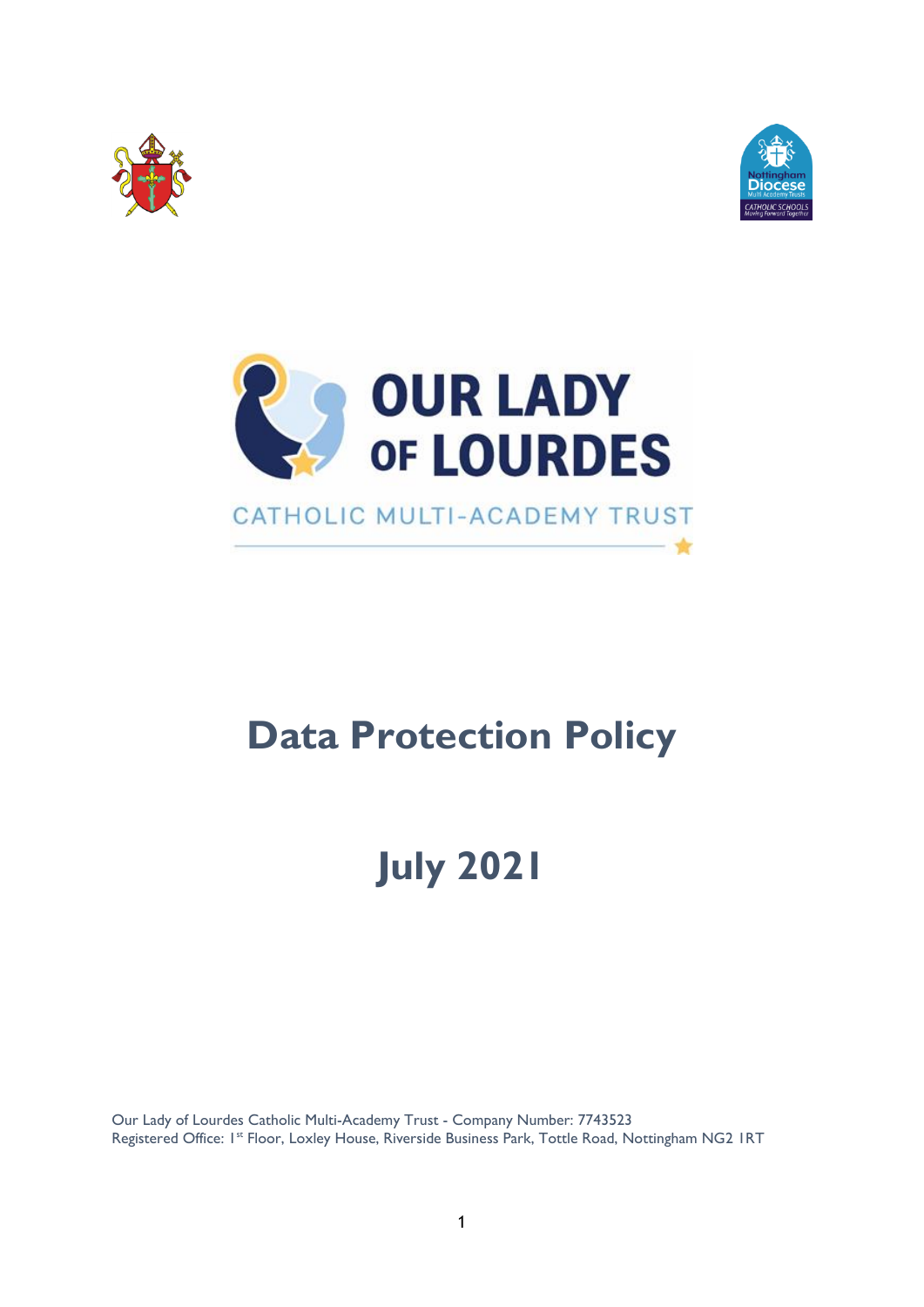





# **Data Protection Policy**

# **July 2021**

Our Lady of Lourdes Catholic Multi-Academy Trust - Company Number: 7743523 Registered Office: 1st Floor, Loxley House, Riverside Business Park, Tottle Road, Nottingham NG2 IRT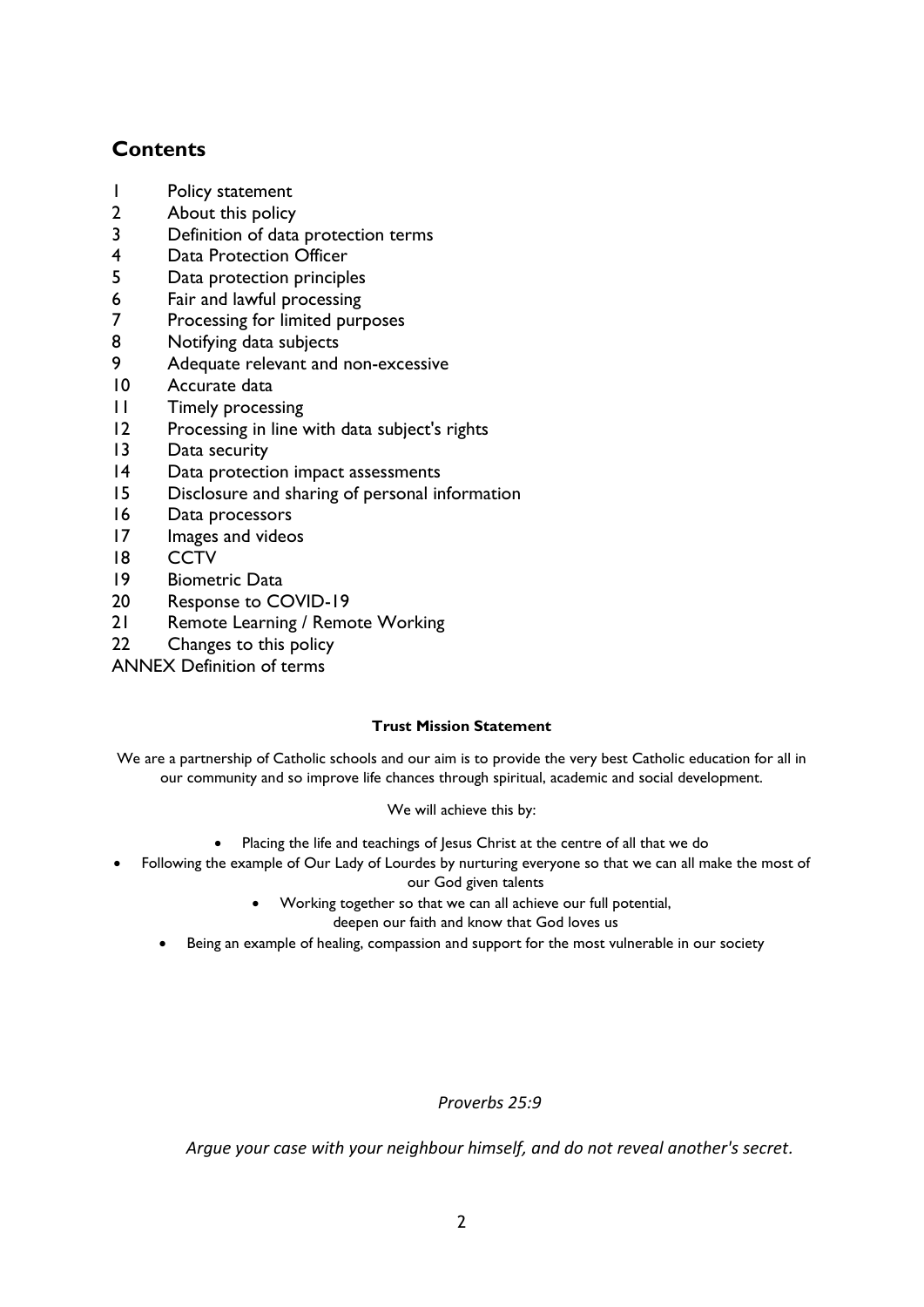# **Contents**

- 1 Policy statement
- 2 About this policy
- 3 Definition of data protection terms
- 4 Data Protection Officer
- 5 Data protection principles
- 6 Fair and lawful processing
- 7 Processing for limited purposes
- 8 Notifying data subjects
- 9 Adequate relevant and non-excessive
- 10 Accurate data
- 11 Timely processing
- 12 Processing in line with data subject's rights
- 13 Data security
- 14 Data protection impact assessments
- 15 Disclosure and sharing of personal information
- 16 Data processors
- 17 Images and videos
- 18 CCTV
- 19 Biometric Data
- 20 Response to COVID-19
- 21 Remote Learning / Remote Working
- 22 Changes to this policy
- ANNEX Definition of terms

# **Trust Mission Statement**

We are a partnership of Catholic schools and our aim is to provide the very best Catholic education for all in our community and so improve life chances through spiritual, academic and social development.

# We will achieve this by:

- Placing the life and teachings of Jesus Christ at the centre of all that we do
- Following the example of Our Lady of Lourdes by nurturing everyone so that we can all make the most of
	- our God given talents
	- Working together so that we can all achieve our full potential,

deepen our faith and know that God loves us

Being an example of healing, compassion and support for the most vulnerable in our society

# *Proverbs 25:9*

*Argue your case with your neighbour himself, and do not reveal another's secret.*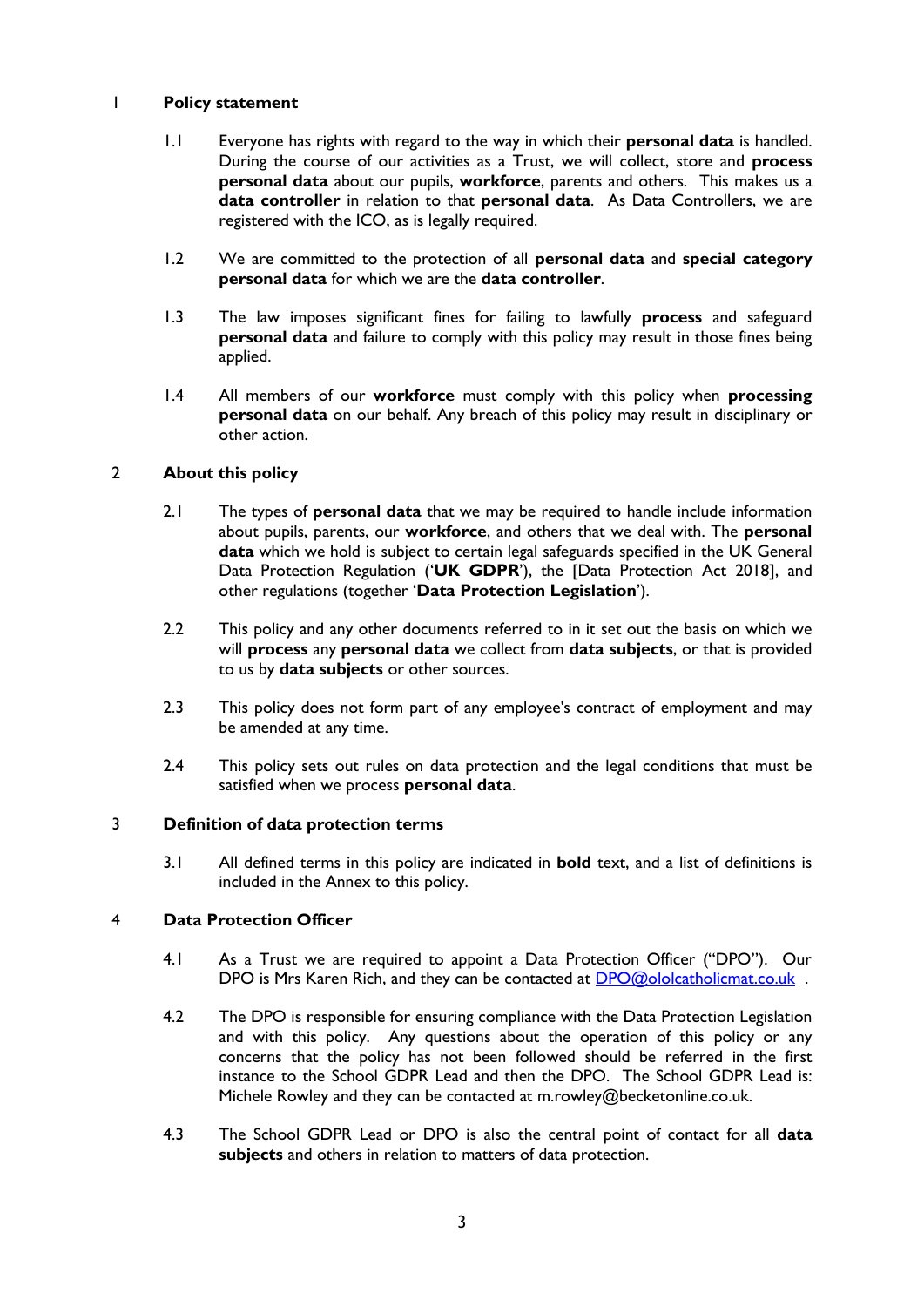# 1 **Policy statement**

- 1.1 Everyone has rights with regard to the way in which their **personal data** is handled. During the course of our activities as a Trust, we will collect, store and **process personal data** about our pupils, **workforce**, parents and others. This makes us a **data controller** in relation to that **personal data**. As Data Controllers, we are registered with the ICO, as is legally required.
- 1.2 We are committed to the protection of all **personal data** and **special category personal data** for which we are the **data controller**.
- 1.3 The law imposes significant fines for failing to lawfully **process** and safeguard **personal data** and failure to comply with this policy may result in those fines being applied.
- 1.4 All members of our **workforce** must comply with this policy when **processing personal data** on our behalf. Any breach of this policy may result in disciplinary or other action.

# 2 **About this policy**

- 2.1 The types of **personal data** that we may be required to handle include information about pupils, parents, our **workforce**, and others that we deal with. The **personal data** which we hold is subject to certain legal safeguards specified in the UK General Data Protection Regulation ('**UK GDPR**'), the [Data Protection Act 2018], and other regulations (together '**Data Protection Legislation**').
- 2.2 This policy and any other documents referred to in it set out the basis on which we will **process** any **personal data** we collect from **data subjects**, or that is provided to us by **data subjects** or other sources.
- 2.3 This policy does not form part of any employee's contract of employment and may be amended at any time.
- 2.4 This policy sets out rules on data protection and the legal conditions that must be satisfied when we process **personal data**.

#### 3 **Definition of data protection terms**

3.1 All defined terms in this policy are indicated in **bold** text, and a list of definitions is included in the Annex to this policy.

#### 4 **Data Protection Officer**

- 4.1 As a Trust we are required to appoint a Data Protection Officer ("DPO"). Our DPO is Mrs Karen Rich, and they can be contacted at [DPO@ololcatholicmat.co.uk](mailto:DPO@ololcatholicmat.co.uk) .
- 4.2 The DPO is responsible for ensuring compliance with the Data Protection Legislation and with this policy. Any questions about the operation of this policy or any concerns that the policy has not been followed should be referred in the first instance to the School GDPR Lead and then the DPO. The School GDPR Lead is: Michele Rowley and they can be contacted at m.rowley@becketonline.co.uk.
- 4.3 The School GDPR Lead or DPO is also the central point of contact for all **data subjects** and others in relation to matters of data protection.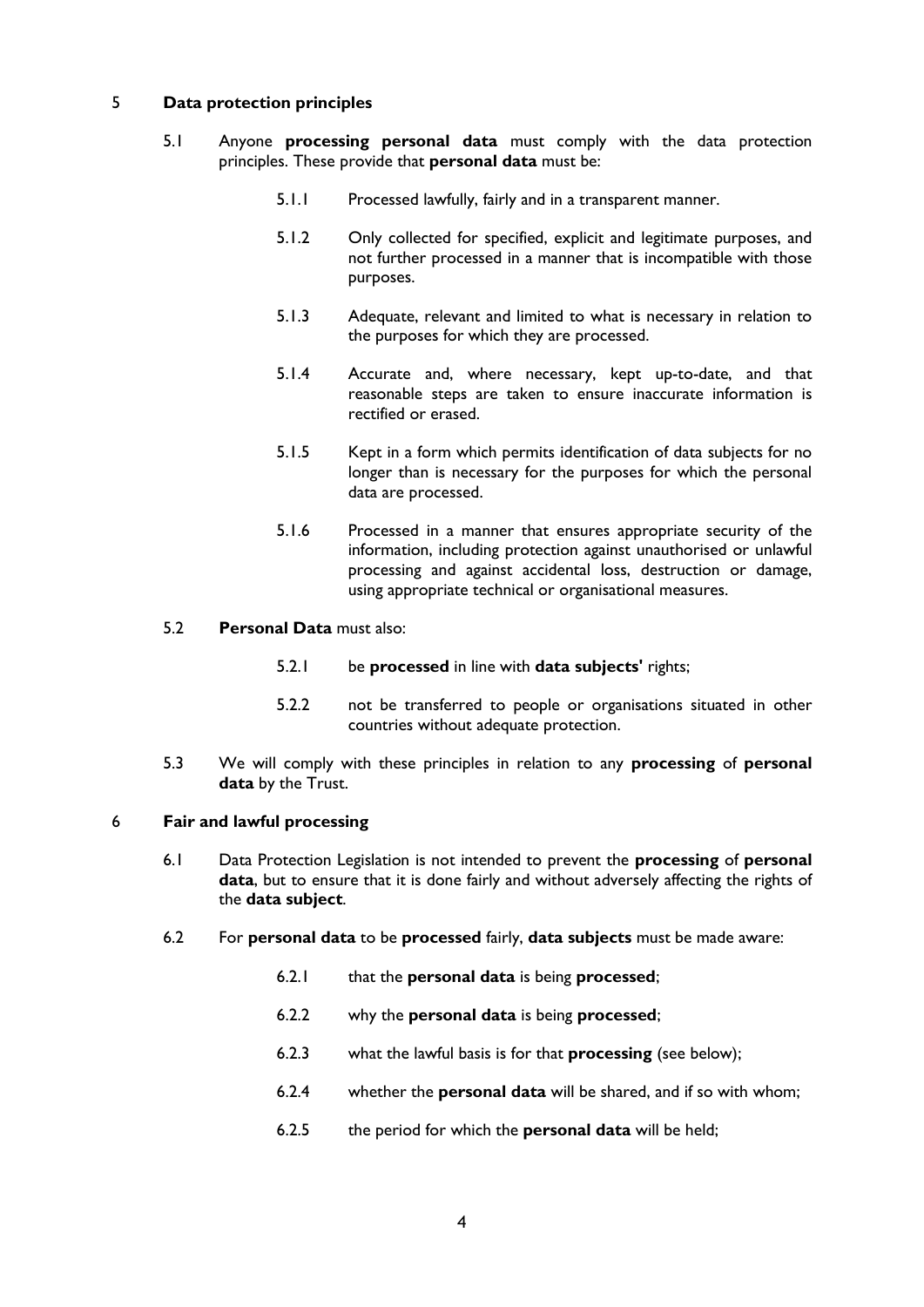#### 5 **Data protection principles**

- 5.1 Anyone **processing personal data** must comply with the data protection principles. These provide that **personal data** must be:
	- 5.1.1 Processed lawfully, fairly and in a transparent manner.
	- 5.1.2 Only collected for specified, explicit and legitimate purposes, and not further processed in a manner that is incompatible with those purposes.
	- 5.1.3 Adequate, relevant and limited to what is necessary in relation to the purposes for which they are processed.
	- 5.1.4 Accurate and, where necessary, kept up-to-date, and that reasonable steps are taken to ensure inaccurate information is rectified or erased.
	- 5.1.5 Kept in a form which permits identification of data subjects for no longer than is necessary for the purposes for which the personal data are processed.
	- 5.1.6 Processed in a manner that ensures appropriate security of the information, including protection against unauthorised or unlawful processing and against accidental loss, destruction or damage, using appropriate technical or organisational measures.

#### 5.2 **Personal Data** must also:

- 5.2.1 be **processed** in line with **data subjects'** rights;
- 5.2.2 not be transferred to people or organisations situated in other countries without adequate protection.
- 5.3 We will comply with these principles in relation to any **processing** of **personal data** by the Trust.

#### 6 **Fair and lawful processing**

- 6.1 Data Protection Legislation is not intended to prevent the **processing** of **personal data**, but to ensure that it is done fairly and without adversely affecting the rights of the **data subject**.
- 6.2 For **personal data** to be **processed** fairly, **data subjects** must be made aware:
	- 6.2.1 that the **personal data** is being **processed**;
	- 6.2.2 why the **personal data** is being **processed**;
	- 6.2.3 what the lawful basis is for that **processing** (see below);
	- 6.2.4 whether the **personal data** will be shared, and if so with whom;
	- 6.2.5 the period for which the **personal data** will be held;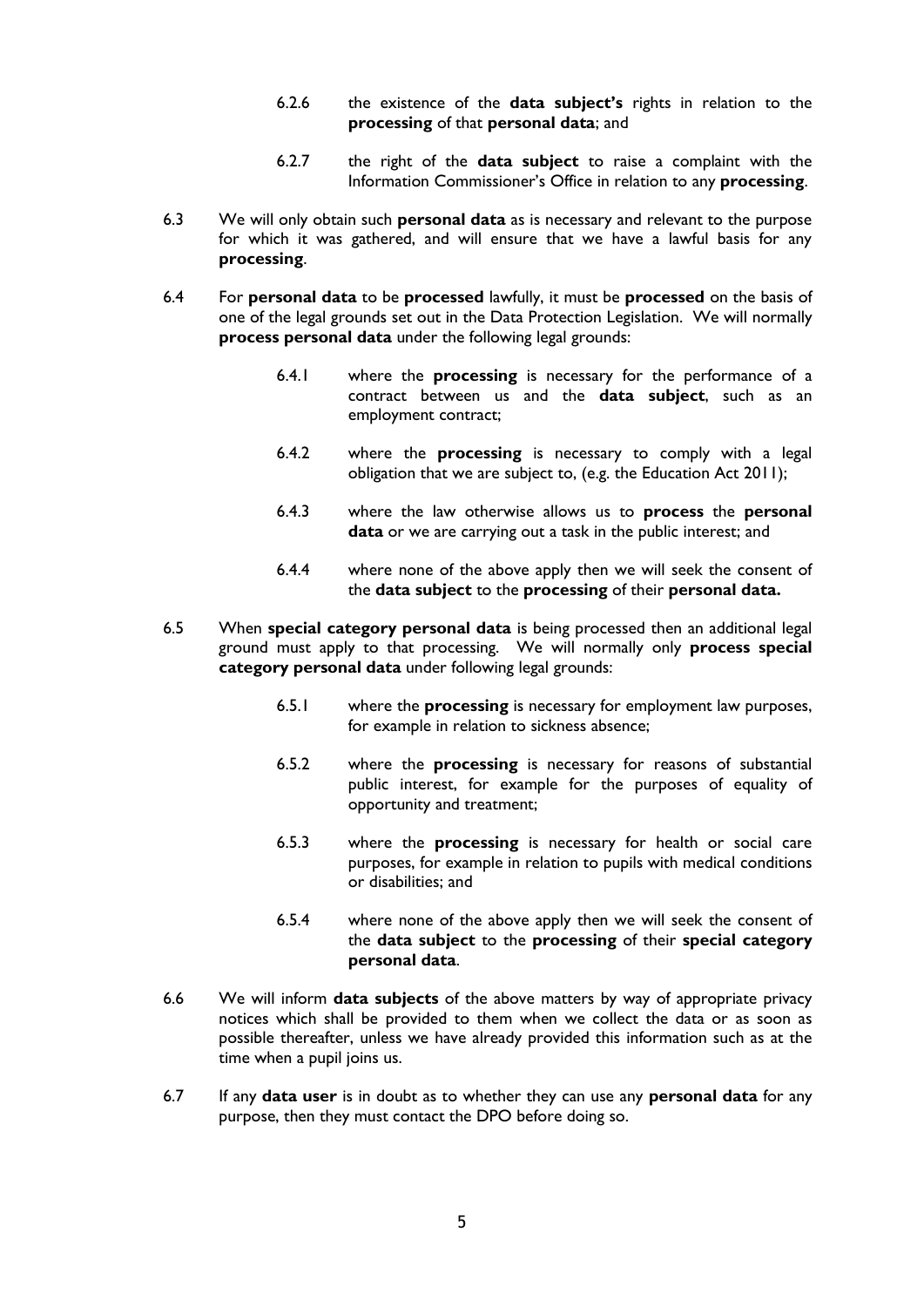- 6.2.6 the existence of the **data subject's** rights in relation to the **processing** of that **personal data**; and
- 6.2.7 the right of the **data subject** to raise a complaint with the Information Commissioner's Office in relation to any **processing**.
- 6.3 We will only obtain such **personal data** as is necessary and relevant to the purpose for which it was gathered, and will ensure that we have a lawful basis for any **processing**.
- 6.4 For **personal data** to be **processed** lawfully, it must be **processed** on the basis of one of the legal grounds set out in the Data Protection Legislation. We will normally **process personal data** under the following legal grounds:
	- 6.4.1 where the **processing** is necessary for the performance of a contract between us and the **data subject**, such as an employment contract;
	- 6.4.2 where the **processing** is necessary to comply with a legal obligation that we are subject to, (e.g. the Education Act 2011);
	- 6.4.3 where the law otherwise allows us to **process** the **personal data** or we are carrying out a task in the public interest; and
	- 6.4.4 where none of the above apply then we will seek the consent of the **data subject** to the **processing** of their **personal data.**
- 6.5 When **special category personal data** is being processed then an additional legal ground must apply to that processing. We will normally only **process special category personal data** under following legal grounds:
	- 6.5.1 where the **processing** is necessary for employment law purposes, for example in relation to sickness absence;
	- 6.5.2 where the **processing** is necessary for reasons of substantial public interest, for example for the purposes of equality of opportunity and treatment;
	- 6.5.3 where the **processing** is necessary for health or social care purposes, for example in relation to pupils with medical conditions or disabilities; and
	- 6.5.4 where none of the above apply then we will seek the consent of the **data subject** to the **processing** of their **special category personal data**.
- 6.6 We will inform **data subjects** of the above matters by way of appropriate privacy notices which shall be provided to them when we collect the data or as soon as possible thereafter, unless we have already provided this information such as at the time when a pupil joins us.
- 6.7 If any **data user** is in doubt as to whether they can use any **personal data** for any purpose, then they must contact the DPO before doing so.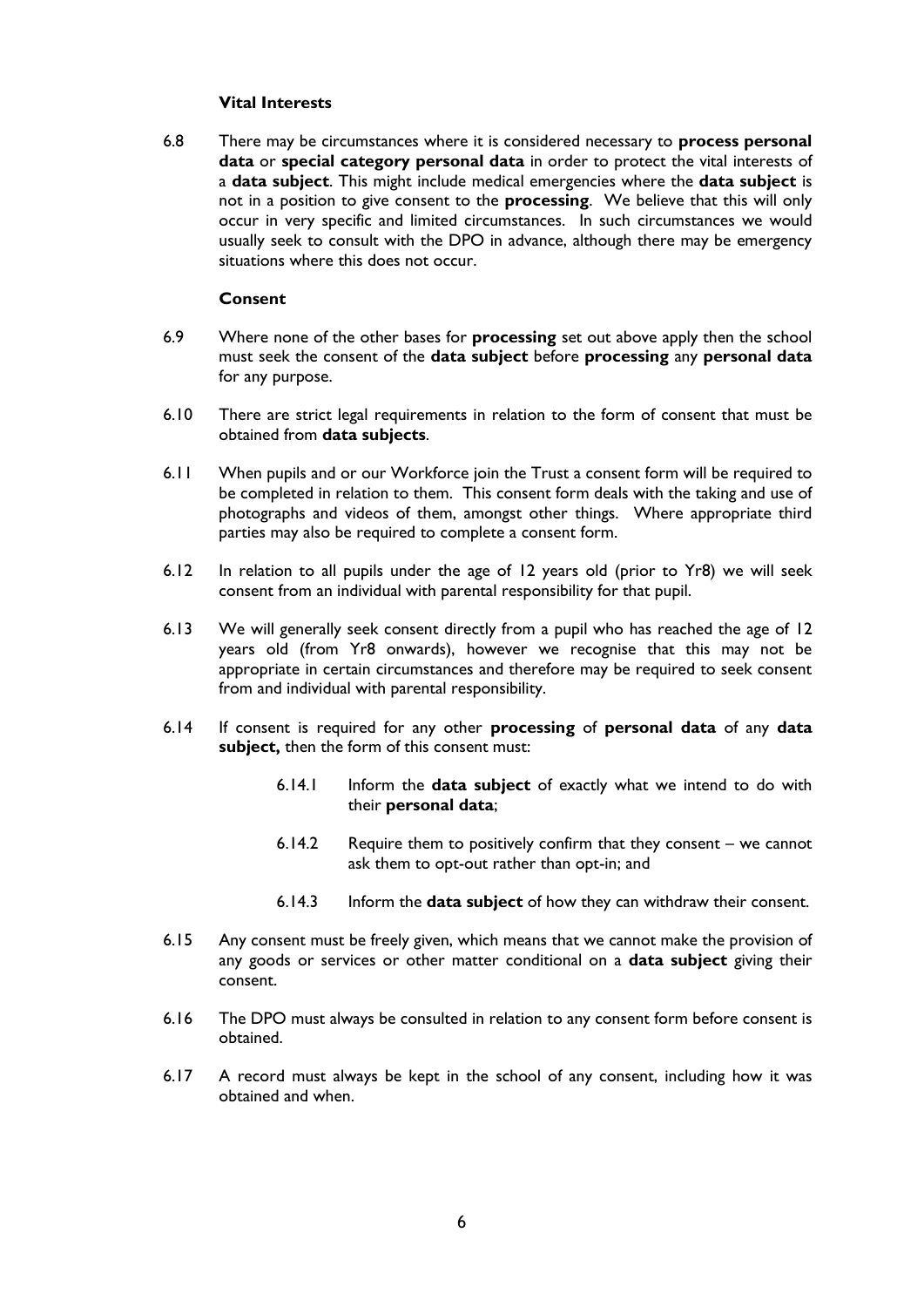#### **Vital Interests**

6.8 There may be circumstances where it is considered necessary to **process personal data** or **special category personal data** in order to protect the vital interests of a **data subject**. This might include medical emergencies where the **data subject** is not in a position to give consent to the **processing**. We believe that this will only occur in very specific and limited circumstances. In such circumstances we would usually seek to consult with the DPO in advance, although there may be emergency situations where this does not occur.

# **Consent**

- 6.9 Where none of the other bases for **processing** set out above apply then the school must seek the consent of the **data subject** before **processing** any **personal data** for any purpose.
- 6.10 There are strict legal requirements in relation to the form of consent that must be obtained from **data subjects**.
- 6.11 When pupils and or our Workforce join the Trust a consent form will be required to be completed in relation to them. This consent form deals with the taking and use of photographs and videos of them, amongst other things. Where appropriate third parties may also be required to complete a consent form.
- 6.12 In relation to all pupils under the age of 12 years old (prior to Yr8) we will seek consent from an individual with parental responsibility for that pupil.
- 6.13 We will generally seek consent directly from a pupil who has reached the age of 12 years old (from Yr8 onwards), however we recognise that this may not be appropriate in certain circumstances and therefore may be required to seek consent from and individual with parental responsibility.
- 6.14 If consent is required for any other **processing** of **personal data** of any **data subject,** then the form of this consent must:
	- 6.14.1 Inform the **data subject** of exactly what we intend to do with their **personal data**;
	- 6.14.2 Require them to positively confirm that they consent we cannot ask them to opt-out rather than opt-in; and
	- 6.14.3 Inform the **data subject** of how they can withdraw their consent.
- 6.15 Any consent must be freely given, which means that we cannot make the provision of any goods or services or other matter conditional on a **data subject** giving their consent.
- 6.16 The DPO must always be consulted in relation to any consent form before consent is obtained.
- 6.17 A record must always be kept in the school of any consent, including how it was obtained and when.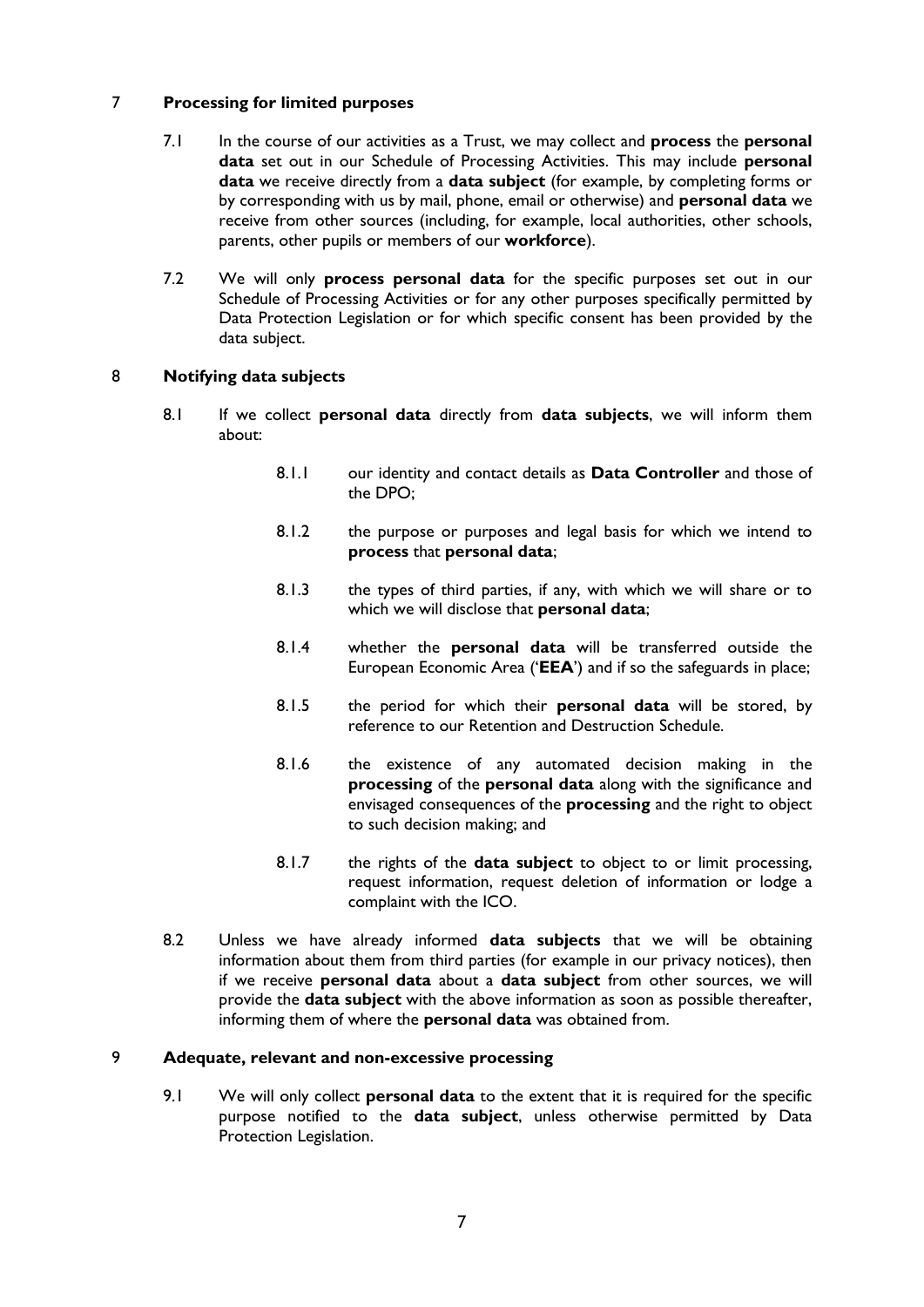# 7 **Processing for limited purposes**

- 7.1 In the course of our activities as a Trust, we may collect and **process** the **personal data** set out in our Schedule of Processing Activities. This may include **personal data** we receive directly from a **data subject** (for example, by completing forms or by corresponding with us by mail, phone, email or otherwise) and **personal data** we receive from other sources (including, for example, local authorities, other schools, parents, other pupils or members of our **workforce**).
- 7.2 We will only **process personal data** for the specific purposes set out in our Schedule of Processing Activities or for any other purposes specifically permitted by Data Protection Legislation or for which specific consent has been provided by the data subject.

### 8 **Notifying data subjects**

- 8.1 If we collect **personal data** directly from **data subjects**, we will inform them about:
	- 8.1.1 our identity and contact details as **Data Controller** and those of the DPO;
	- 8.1.2 the purpose or purposes and legal basis for which we intend to **process** that **personal data**;
	- 8.1.3 the types of third parties, if any, with which we will share or to which we will disclose that **personal data**;
	- 8.1.4 whether the **personal data** will be transferred outside the European Economic Area ('**EEA**') and if so the safeguards in place;
	- 8.1.5 the period for which their **personal data** will be stored, by reference to our Retention and Destruction Schedule.
	- 8.1.6 the existence of any automated decision making in the **processing** of the **personal data** along with the significance and envisaged consequences of the **processing** and the right to object to such decision making; and
	- 8.1.7 the rights of the **data subject** to object to or limit processing, request information, request deletion of information or lodge a complaint with the ICO.
- 8.2 Unless we have already informed **data subjects** that we will be obtaining information about them from third parties (for example in our privacy notices), then if we receive **personal data** about a **data subject** from other sources, we will provide the **data subject** with the above information as soon as possible thereafter, informing them of where the **personal data** was obtained from.

#### 9 **Adequate, relevant and non-excessive processing**

9.1 We will only collect **personal data** to the extent that it is required for the specific purpose notified to the **data subject**, unless otherwise permitted by Data Protection Legislation.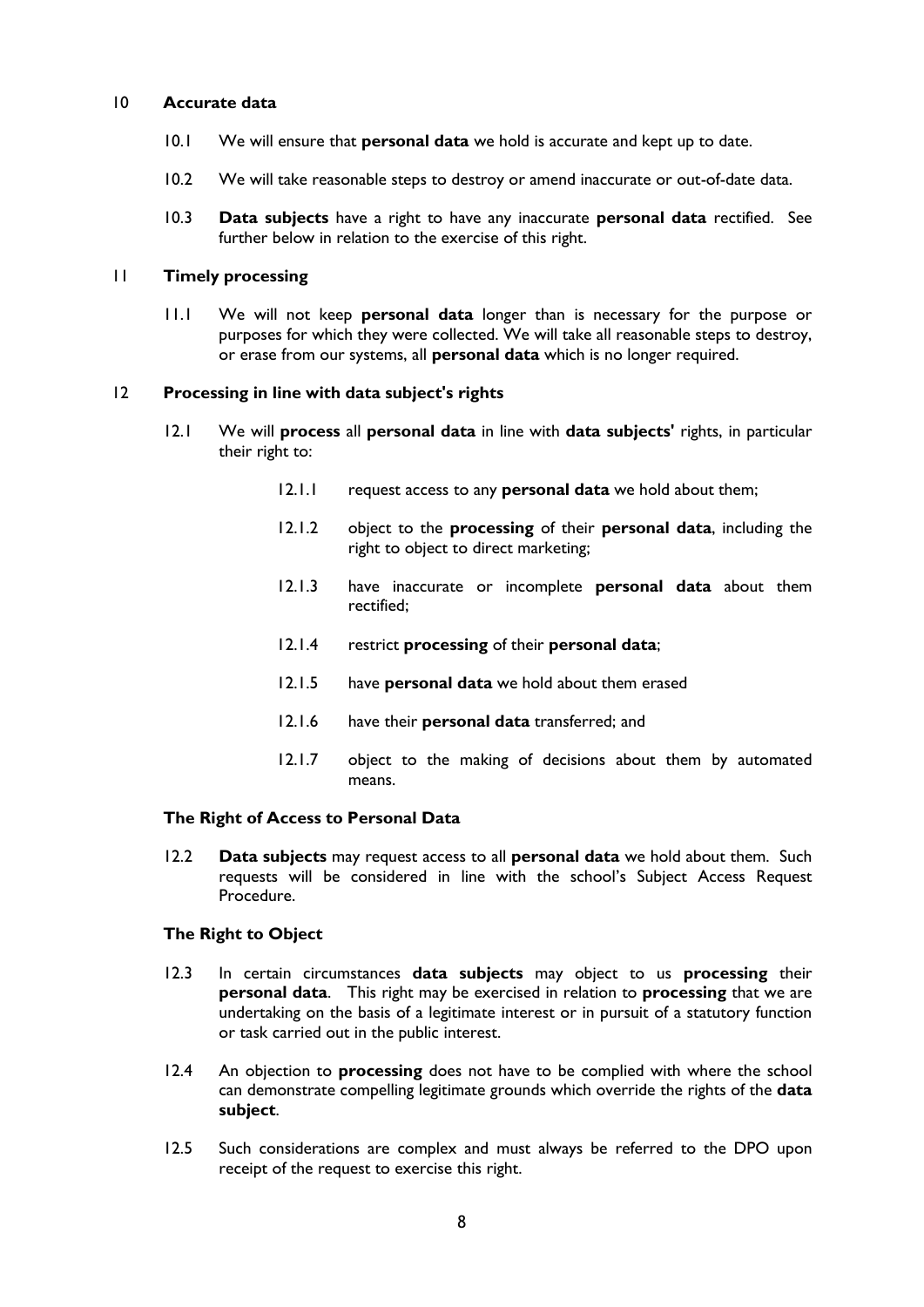#### 10 **Accurate data**

- 10.1 We will ensure that **personal data** we hold is accurate and kept up to date.
- 10.2 We will take reasonable steps to destroy or amend inaccurate or out-of-date data.
- 10.3 **Data subjects** have a right to have any inaccurate **personal data** rectified. See further below in relation to the exercise of this right.

#### 11 **Timely processing**

11.1 We will not keep **personal data** longer than is necessary for the purpose or purposes for which they were collected. We will take all reasonable steps to destroy, or erase from our systems, all **personal data** which is no longer required.

#### 12 **Processing in line with data subject's rights**

- 12.1 We will **process** all **personal data** in line with **data subjects'** rights, in particular their right to:
	- 12.1.1 request access to any **personal data** we hold about them;
	- 12.1.2 object to the **processing** of their **personal data**, including the right to object to direct marketing;
	- 12.1.3 have inaccurate or incomplete **personal data** about them rectified;
	- 12.1.4 restrict **processing** of their **personal data**;
	- 12.1.5 have **personal data** we hold about them erased
	- 12.1.6 have their **personal data** transferred; and
	- 12.1.7 object to the making of decisions about them by automated means.

#### **The Right of Access to Personal Data**

12.2 **Data subjects** may request access to all **personal data** we hold about them. Such requests will be considered in line with the school's Subject Access Request Procedure.

#### **The Right to Object**

- 12.3 In certain circumstances **data subjects** may object to us **processing** their **personal data**. This right may be exercised in relation to **processing** that we are undertaking on the basis of a legitimate interest or in pursuit of a statutory function or task carried out in the public interest.
- 12.4 An objection to **processing** does not have to be complied with where the school can demonstrate compelling legitimate grounds which override the rights of the **data subject**.
- 12.5 Such considerations are complex and must always be referred to the DPO upon receipt of the request to exercise this right.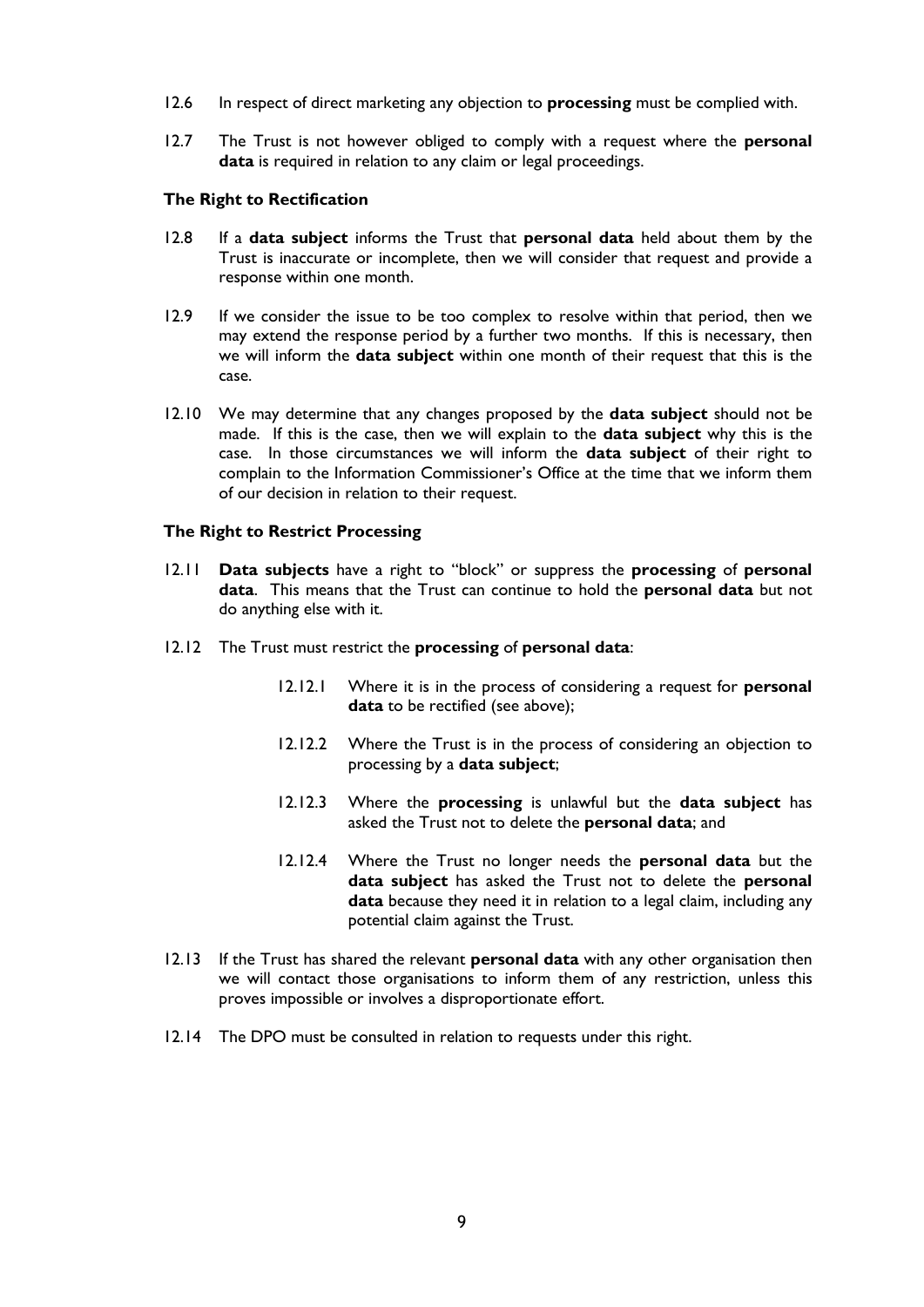- 12.6 In respect of direct marketing any objection to **processing** must be complied with.
- 12.7 The Trust is not however obliged to comply with a request where the **personal data** is required in relation to any claim or legal proceedings.

#### **The Right to Rectification**

- 12.8 If a **data subject** informs the Trust that **personal data** held about them by the Trust is inaccurate or incomplete, then we will consider that request and provide a response within one month.
- 12.9 If we consider the issue to be too complex to resolve within that period, then we may extend the response period by a further two months. If this is necessary, then we will inform the **data subject** within one month of their request that this is the case.
- 12.10 We may determine that any changes proposed by the **data subject** should not be made. If this is the case, then we will explain to the **data subject** why this is the case. In those circumstances we will inform the **data subject** of their right to complain to the Information Commissioner's Office at the time that we inform them of our decision in relation to their request.

#### **The Right to Restrict Processing**

- 12.11 **Data subjects** have a right to "block" or suppress the **processing** of **personal data**. This means that the Trust can continue to hold the **personal data** but not do anything else with it.
- 12.12 The Trust must restrict the **processing** of **personal data**:
	- 12.12.1 Where it is in the process of considering a request for **personal**  data to be rectified (see above);
	- 12.12.2 Where the Trust is in the process of considering an objection to processing by a **data subject**;
	- 12.12.3 Where the **processing** is unlawful but the **data subject** has asked the Trust not to delete the **personal data**; and
	- 12.12.4 Where the Trust no longer needs the **personal data** but the **data subject** has asked the Trust not to delete the **personal data** because they need it in relation to a legal claim, including any potential claim against the Trust.
- 12.13 If the Trust has shared the relevant **personal data** with any other organisation then we will contact those organisations to inform them of any restriction, unless this proves impossible or involves a disproportionate effort.
- 12.14 The DPO must be consulted in relation to requests under this right.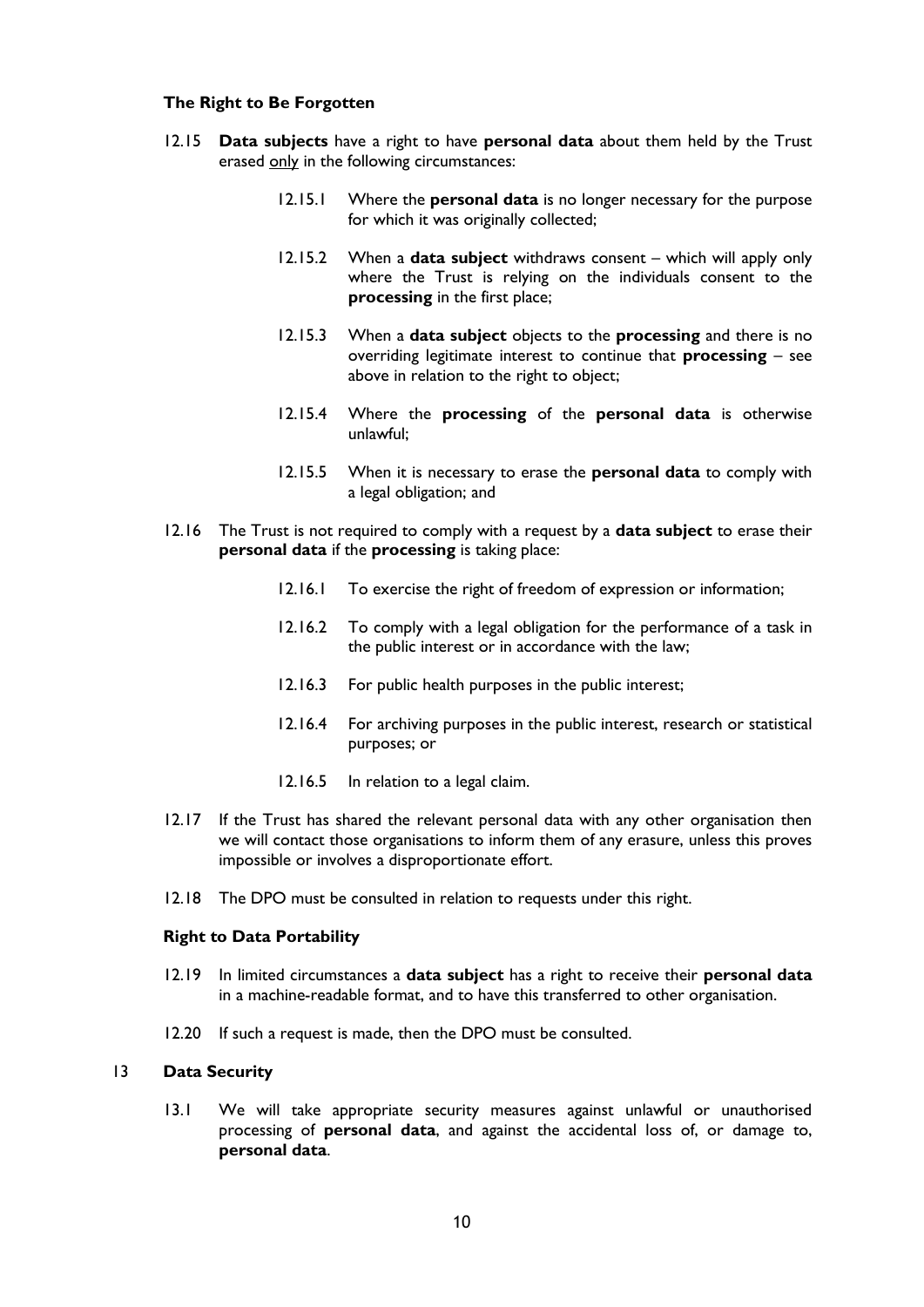#### **The Right to Be Forgotten**

- 12.15 **Data subjects** have a right to have **personal data** about them held by the Trust erased only in the following circumstances:
	- 12.15.1 Where the **personal data** is no longer necessary for the purpose for which it was originally collected;
	- 12.15.2 When a **data subject** withdraws consent which will apply only where the Trust is relying on the individuals consent to the **processing** in the first place;
	- 12.15.3 When a **data subject** objects to the **processing** and there is no overriding legitimate interest to continue that **processing** – see above in relation to the right to object;
	- 12.15.4 Where the **processing** of the **personal data** is otherwise unlawful;
	- 12.15.5 When it is necessary to erase the **personal data** to comply with a legal obligation; and
- 12.16 The Trust is not required to comply with a request by a **data subject** to erase their **personal data** if the **processing** is taking place:
	- 12.16.1 To exercise the right of freedom of expression or information;
	- 12.16.2 To comply with a legal obligation for the performance of a task in the public interest or in accordance with the law;
	- 12.16.3 For public health purposes in the public interest;
	- 12.16.4 For archiving purposes in the public interest, research or statistical purposes; or
	- 12.16.5 In relation to a legal claim.
- 12.17 If the Trust has shared the relevant personal data with any other organisation then we will contact those organisations to inform them of any erasure, unless this proves impossible or involves a disproportionate effort.
- 12.18 The DPO must be consulted in relation to requests under this right.

#### **Right to Data Portability**

- 12.19 In limited circumstances a **data subject** has a right to receive their **personal data** in a machine-readable format, and to have this transferred to other organisation.
- 12.20 If such a request is made, then the DPO must be consulted.

#### 13 **Data Security**

13.1 We will take appropriate security measures against unlawful or unauthorised processing of **personal data**, and against the accidental loss of, or damage to, **personal data**.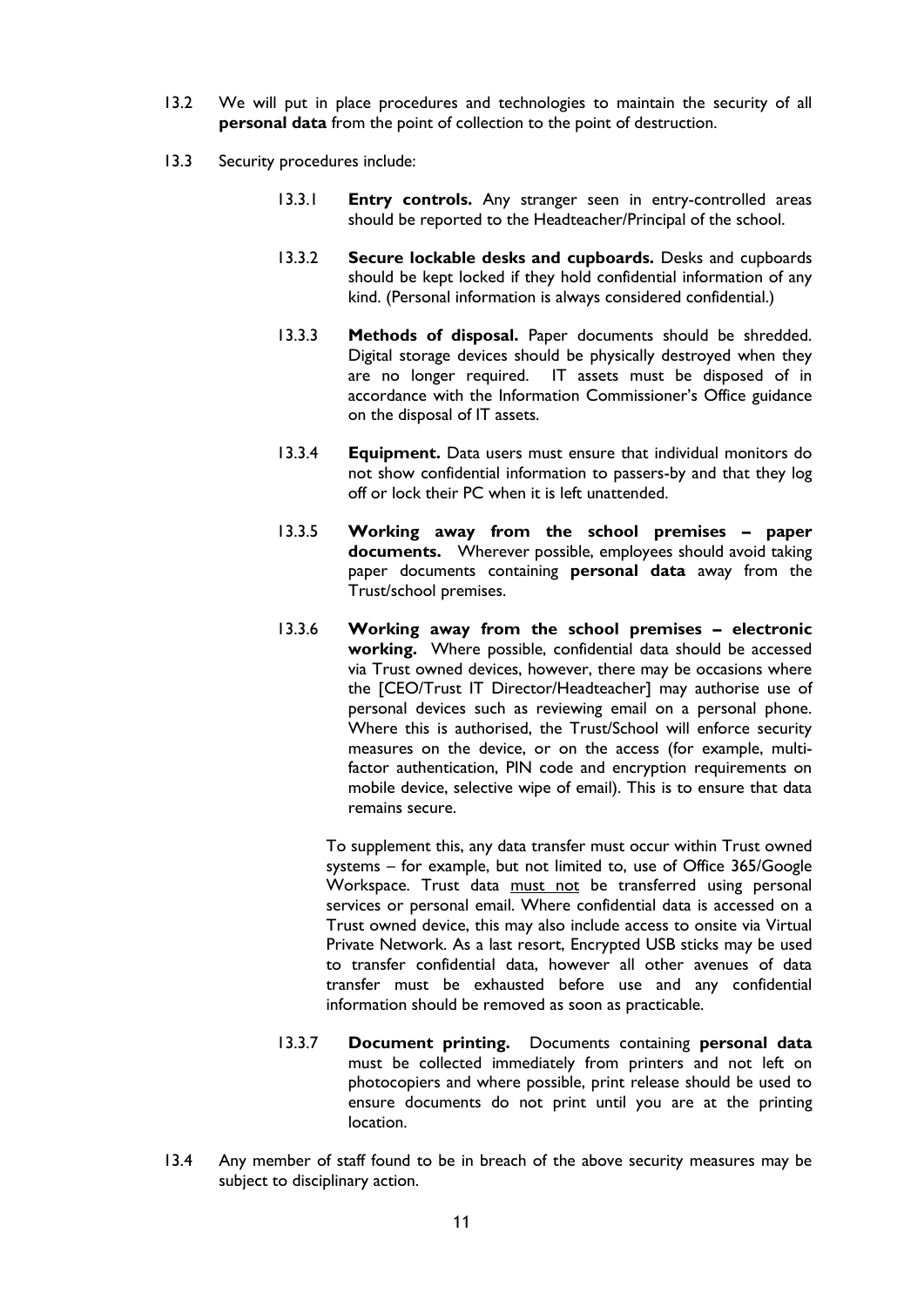- 13.2 We will put in place procedures and technologies to maintain the security of all **personal data** from the point of collection to the point of destruction.
- 13.3 Security procedures include:
	- 13.3.1 **Entry controls.** Any stranger seen in entry-controlled areas should be reported to the Headteacher/Principal of the school.
	- 13.3.2 **Secure lockable desks and cupboards.** Desks and cupboards should be kept locked if they hold confidential information of any kind. (Personal information is always considered confidential.)
	- 13.3.3 **Methods of disposal.** Paper documents should be shredded. Digital storage devices should be physically destroyed when they are no longer required. IT assets must be disposed of in accordance with the Information Commissioner's Office guidance on the disposal of IT assets.
	- 13.3.4 **Equipment.** Data users must ensure that individual monitors do not show confidential information to passers-by and that they log off or lock their PC when it is left unattended.
	- 13.3.5 **Working away from the school premises – paper documents.** Wherever possible, employees should avoid taking paper documents containing **personal data** away from the Trust/school premises.
	- 13.3.6 **Working away from the school premises – electronic working.** Where possible, confidential data should be accessed via Trust owned devices, however, there may be occasions where the [CEO/Trust IT Director/Headteacher] may authorise use of personal devices such as reviewing email on a personal phone. Where this is authorised, the Trust/School will enforce security measures on the device, or on the access (for example, multifactor authentication, PIN code and encryption requirements on mobile device, selective wipe of email). This is to ensure that data remains secure.

To supplement this, any data transfer must occur within Trust owned systems – for example, but not limited to, use of Office 365/Google Workspace. Trust data must not be transferred using personal services or personal email. Where confidential data is accessed on a Trust owned device, this may also include access to onsite via Virtual Private Network. As a last resort, Encrypted USB sticks may be used to transfer confidential data, however all other avenues of data transfer must be exhausted before use and any confidential information should be removed as soon as practicable.

- 13.3.7 **Document printing.** Documents containing **personal data** must be collected immediately from printers and not left on photocopiers and where possible, print release should be used to ensure documents do not print until you are at the printing location.
- 13.4 Any member of staff found to be in breach of the above security measures may be subject to disciplinary action.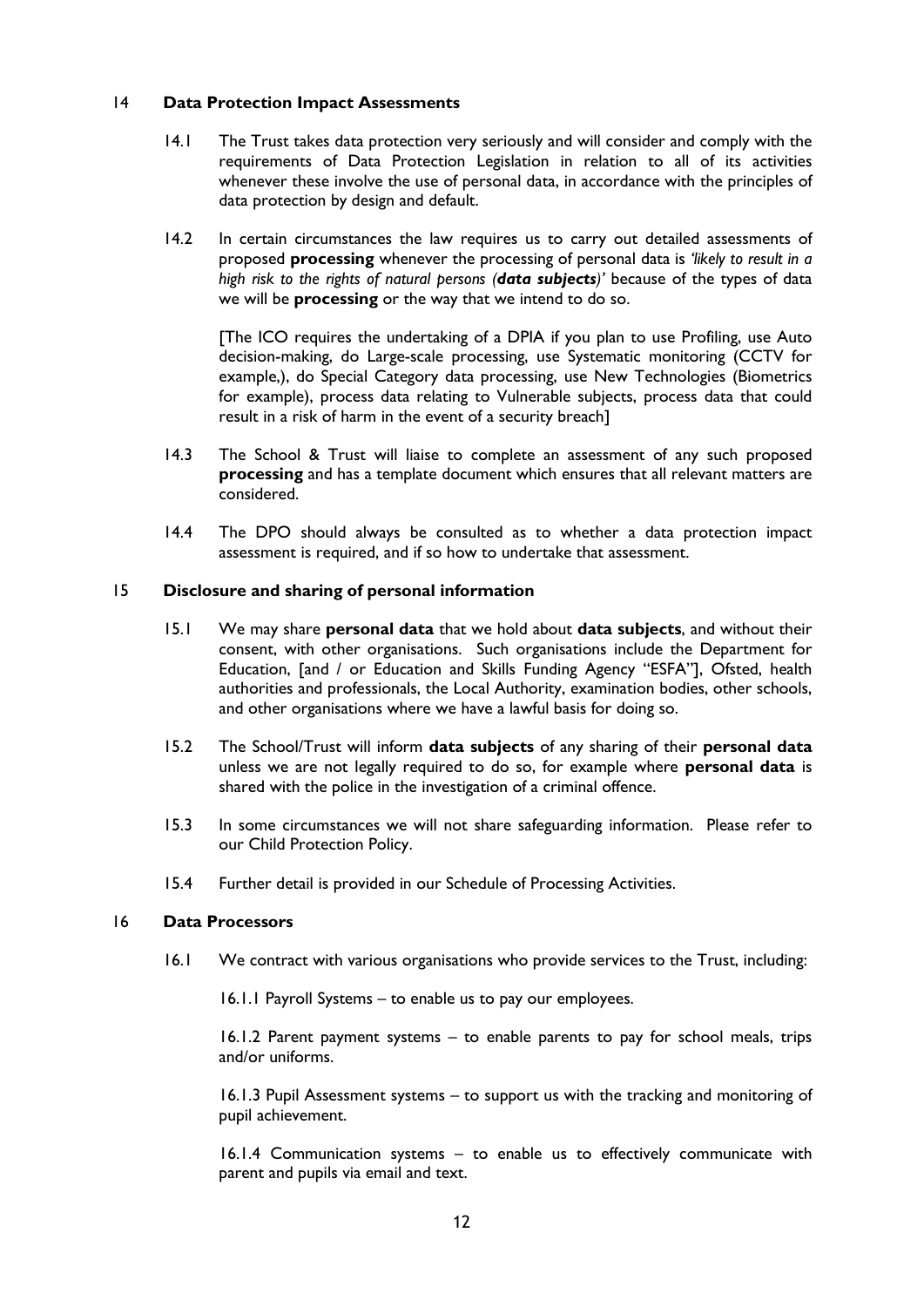#### 14 **Data Protection Impact Assessments**

- 14.1 The Trust takes data protection very seriously and will consider and comply with the requirements of Data Protection Legislation in relation to all of its activities whenever these involve the use of personal data, in accordance with the principles of data protection by design and default.
- 14.2 In certain circumstances the law requires us to carry out detailed assessments of proposed **processing** whenever the processing of personal data is *'likely to result in a high risk to the rights of natural persons (data subjects)'* because of the types of data we will be **processing** or the way that we intend to do so.

[The ICO requires the undertaking of a DPIA if you plan to use Profiling, use Auto decision-making, do Large-scale processing, use Systematic monitoring (CCTV for example,), do Special Category data processing, use New Technologies (Biometrics for example), process data relating to Vulnerable subjects, process data that could result in a risk of harm in the event of a security breach]

- 14.3 The School & Trust will liaise to complete an assessment of any such proposed **processing** and has a template document which ensures that all relevant matters are considered.
- 14.4 The DPO should always be consulted as to whether a data protection impact assessment is required, and if so how to undertake that assessment.

### 15 **Disclosure and sharing of personal information**

- 15.1 We may share **personal data** that we hold about **data subjects**, and without their consent, with other organisations. Such organisations include the Department for Education, [and / or Education and Skills Funding Agency "ESFA"], Ofsted, health authorities and professionals, the Local Authority, examination bodies, other schools, and other organisations where we have a lawful basis for doing so.
- 15.2 The School/Trust will inform **data subjects** of any sharing of their **personal data** unless we are not legally required to do so, for example where **personal data** is shared with the police in the investigation of a criminal offence.
- 15.3 In some circumstances we will not share safeguarding information. Please refer to our Child Protection Policy.
- 15.4 Further detail is provided in our Schedule of Processing Activities.

#### 16 **Data Processors**

16.1 We contract with various organisations who provide services to the Trust, including:

16.1.1 Payroll Systems – to enable us to pay our employees.

16.1.2 Parent payment systems – to enable parents to pay for school meals, trips and/or uniforms.

16.1.3 Pupil Assessment systems – to support us with the tracking and monitoring of pupil achievement.

16.1.4 Communication systems – to enable us to effectively communicate with parent and pupils via email and text.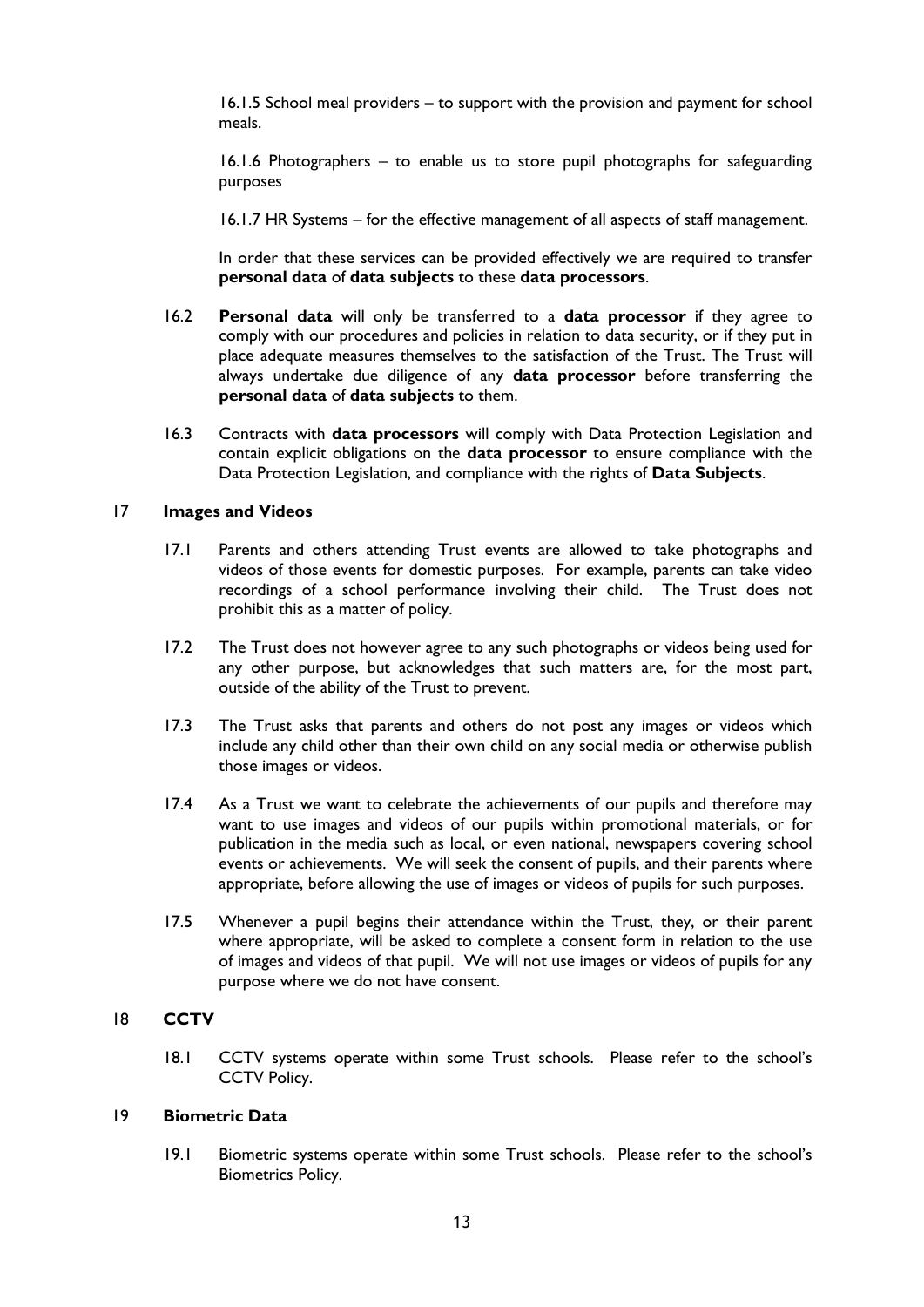16.1.5 School meal providers – to support with the provision and payment for school meals.

16.1.6 Photographers – to enable us to store pupil photographs for safeguarding purposes

16.1.7 HR Systems – for the effective management of all aspects of staff management.

In order that these services can be provided effectively we are required to transfer **personal data** of **data subjects** to these **data processors**.

- 16.2 **Personal data** will only be transferred to a **data processor** if they agree to comply with our procedures and policies in relation to data security, or if they put in place adequate measures themselves to the satisfaction of the Trust. The Trust will always undertake due diligence of any **data processor** before transferring the **personal data** of **data subjects** to them.
- 16.3 Contracts with **data processors** will comply with Data Protection Legislation and contain explicit obligations on the **data processor** to ensure compliance with the Data Protection Legislation, and compliance with the rights of **Data Subjects**.

#### 17 **Images and Videos**

- 17.1 Parents and others attending Trust events are allowed to take photographs and videos of those events for domestic purposes. For example, parents can take video recordings of a school performance involving their child. The Trust does not prohibit this as a matter of policy.
- 17.2 The Trust does not however agree to any such photographs or videos being used for any other purpose, but acknowledges that such matters are, for the most part, outside of the ability of the Trust to prevent.
- 17.3 The Trust asks that parents and others do not post any images or videos which include any child other than their own child on any social media or otherwise publish those images or videos.
- 17.4 As a Trust we want to celebrate the achievements of our pupils and therefore may want to use images and videos of our pupils within promotional materials, or for publication in the media such as local, or even national, newspapers covering school events or achievements. We will seek the consent of pupils, and their parents where appropriate, before allowing the use of images or videos of pupils for such purposes.
- 17.5 Whenever a pupil begins their attendance within the Trust, they, or their parent where appropriate, will be asked to complete a consent form in relation to the use of images and videos of that pupil. We will not use images or videos of pupils for any purpose where we do not have consent.

# 18 **CCTV**

18.1 CCTV systems operate within some Trust schools. Please refer to the school's CCTV Policy.

#### 19 **Biometric Data**

19.1 Biometric systems operate within some Trust schools. Please refer to the school's Biometrics Policy.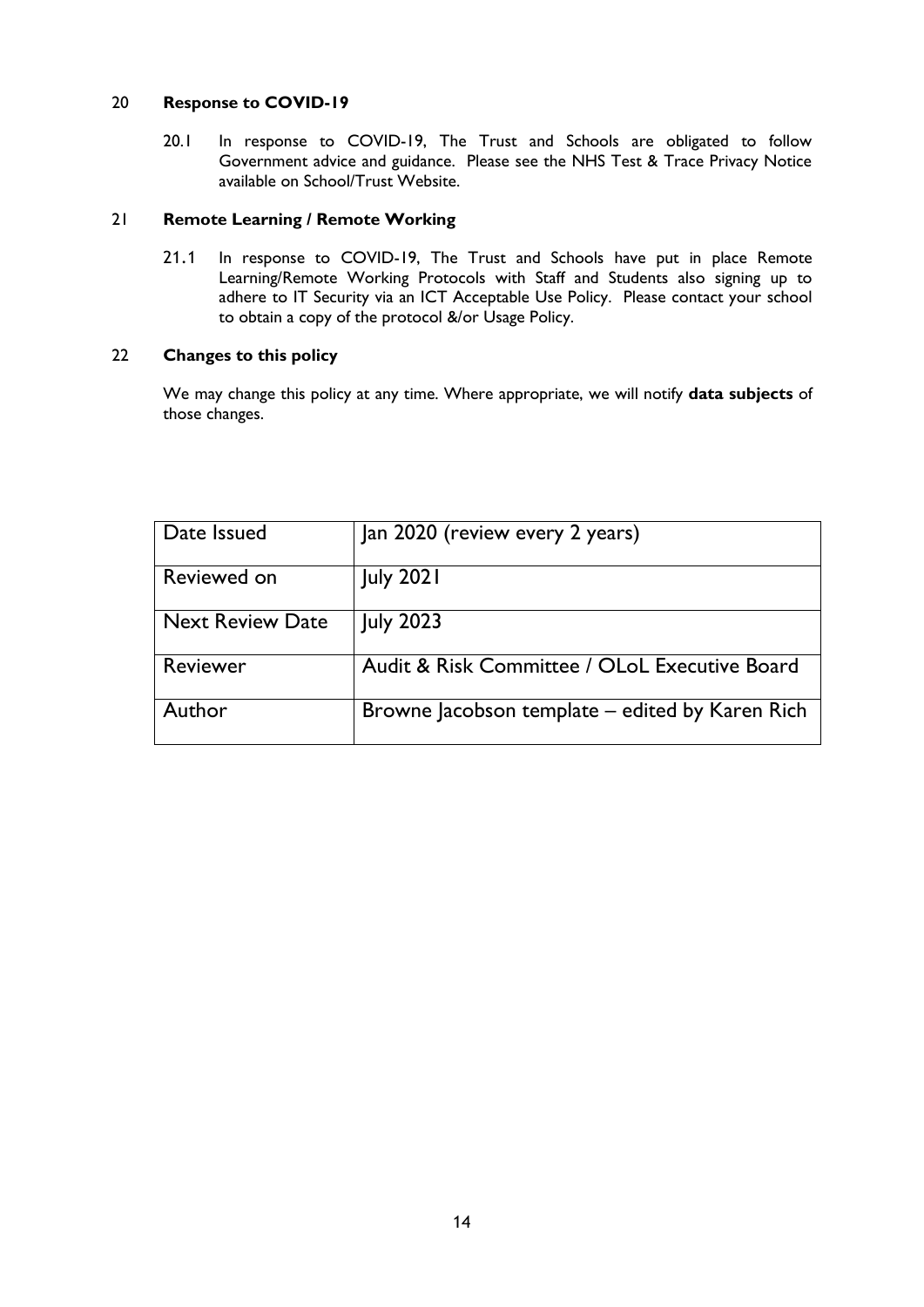# 20 **Response to COVID-19**

20.1 In response to COVID-19, The Trust and Schools are obligated to follow Government advice and guidance. Please see the NHS Test & Trace Privacy Notice available on School/Trust Website.

# 21 **Remote Learning / Remote Working**

21.1 In response to COVID-19, The Trust and Schools have put in place Remote Learning/Remote Working Protocols with Staff and Students also signing up to adhere to IT Security via an ICT Acceptable Use Policy. Please contact your school to obtain a copy of the protocol &/or Usage Policy.

# 22 **Changes to this policy**

We may change this policy at any time. Where appropriate, we will notify **data subjects** of those changes.

| Date Issued             | Jan 2020 (review every 2 years)                 |
|-------------------------|-------------------------------------------------|
| Reviewed on             | <b>July 2021</b>                                |
| <b>Next Review Date</b> | <b>July 2023</b>                                |
| Reviewer                | Audit & Risk Committee / OLoL Executive Board   |
| Author                  | Browne Jacobson template – edited by Karen Rich |